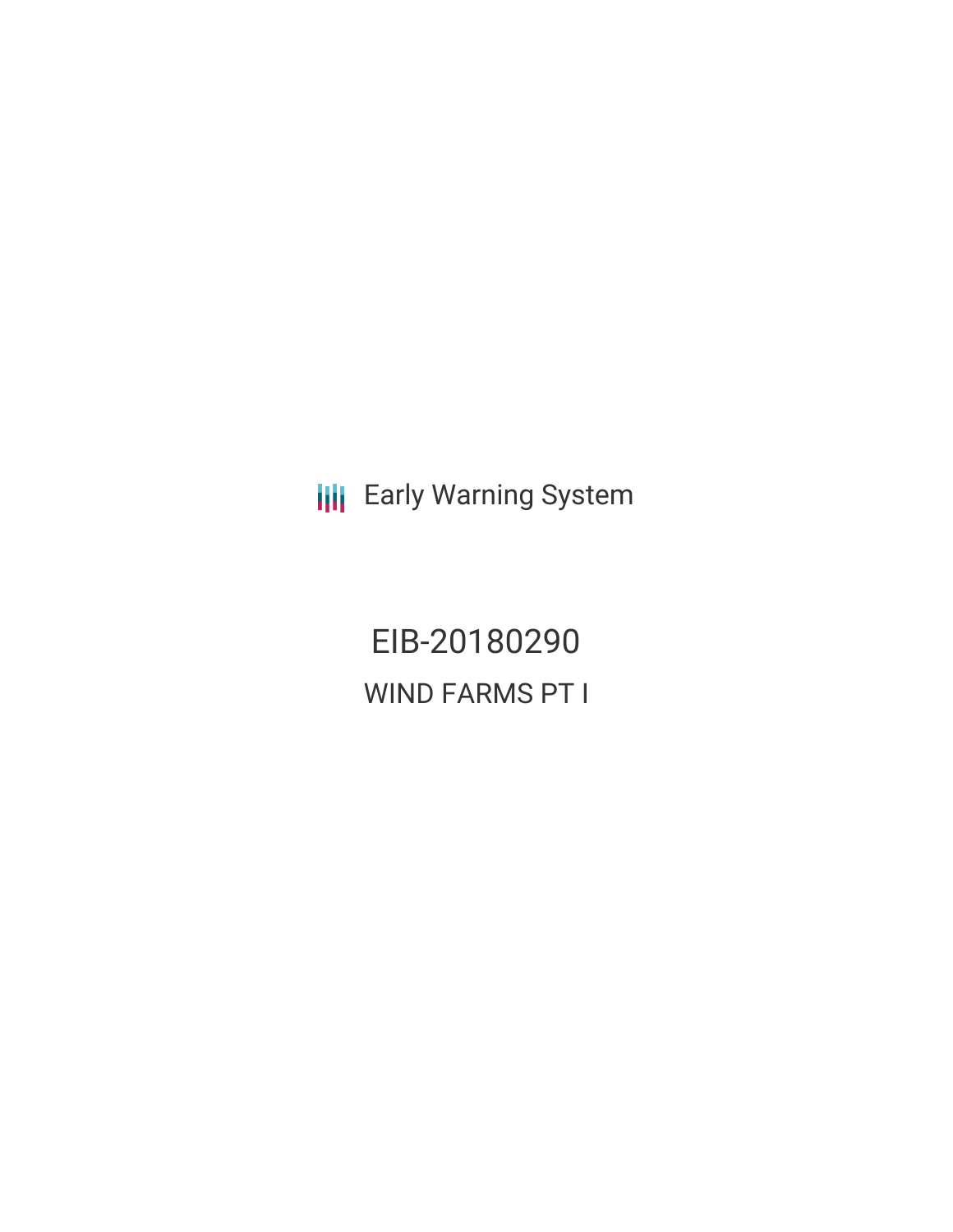**III** Early Warning System

EIB-20180290 WIND FARMS PT I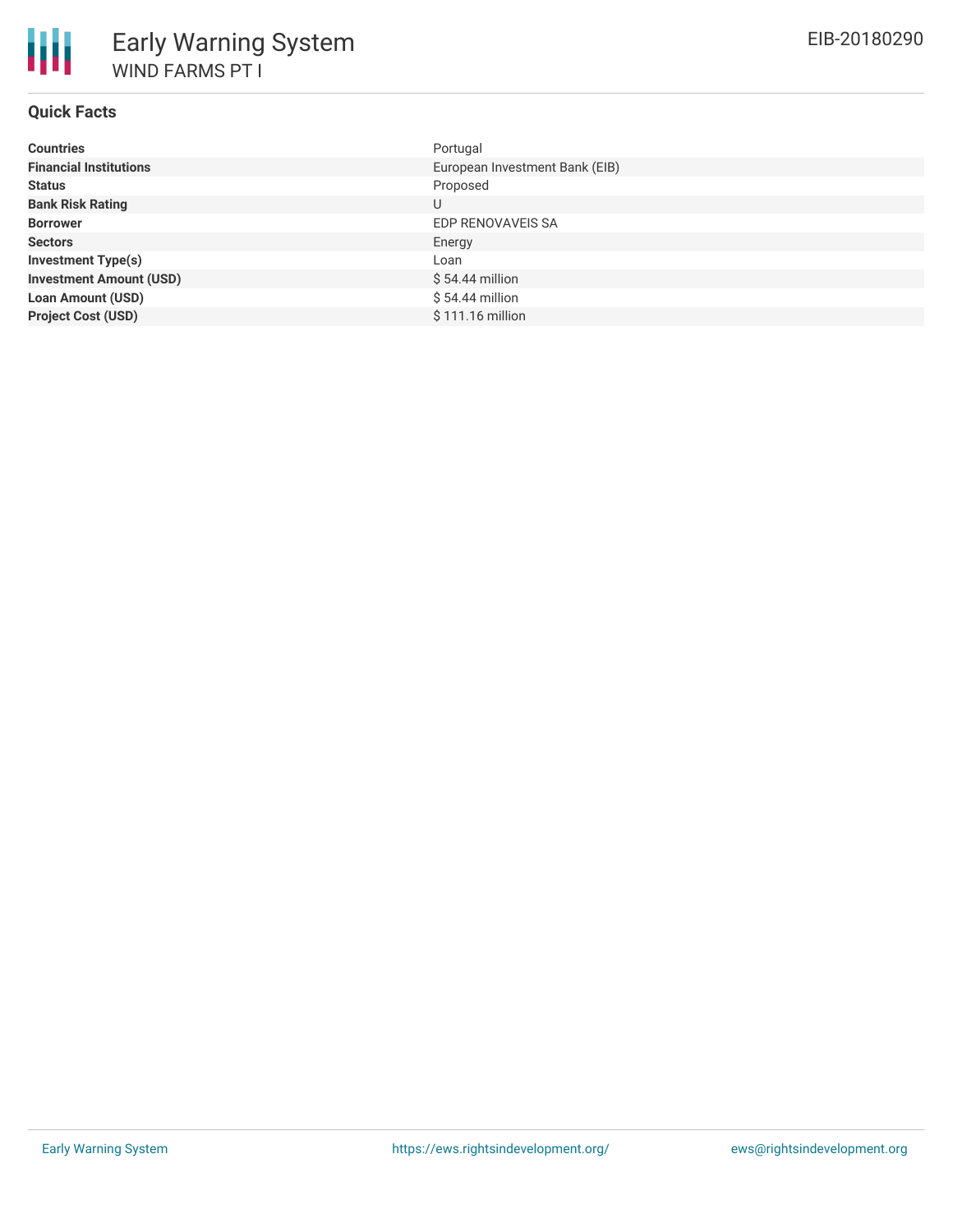| <b>Countries</b>               | Portugal                       |
|--------------------------------|--------------------------------|
| <b>Financial Institutions</b>  | European Investment Bank (EIB) |
| <b>Status</b>                  | Proposed                       |
| <b>Bank Risk Rating</b>        | U                              |
| <b>Borrower</b>                | EDP RENOVAVEIS SA              |
| <b>Sectors</b>                 | Energy                         |
| <b>Investment Type(s)</b>      | Loan                           |
| <b>Investment Amount (USD)</b> | $$54.44$ million               |
| <b>Loan Amount (USD)</b>       | $$54.44$ million               |
| <b>Project Cost (USD)</b>      | \$111.16 million               |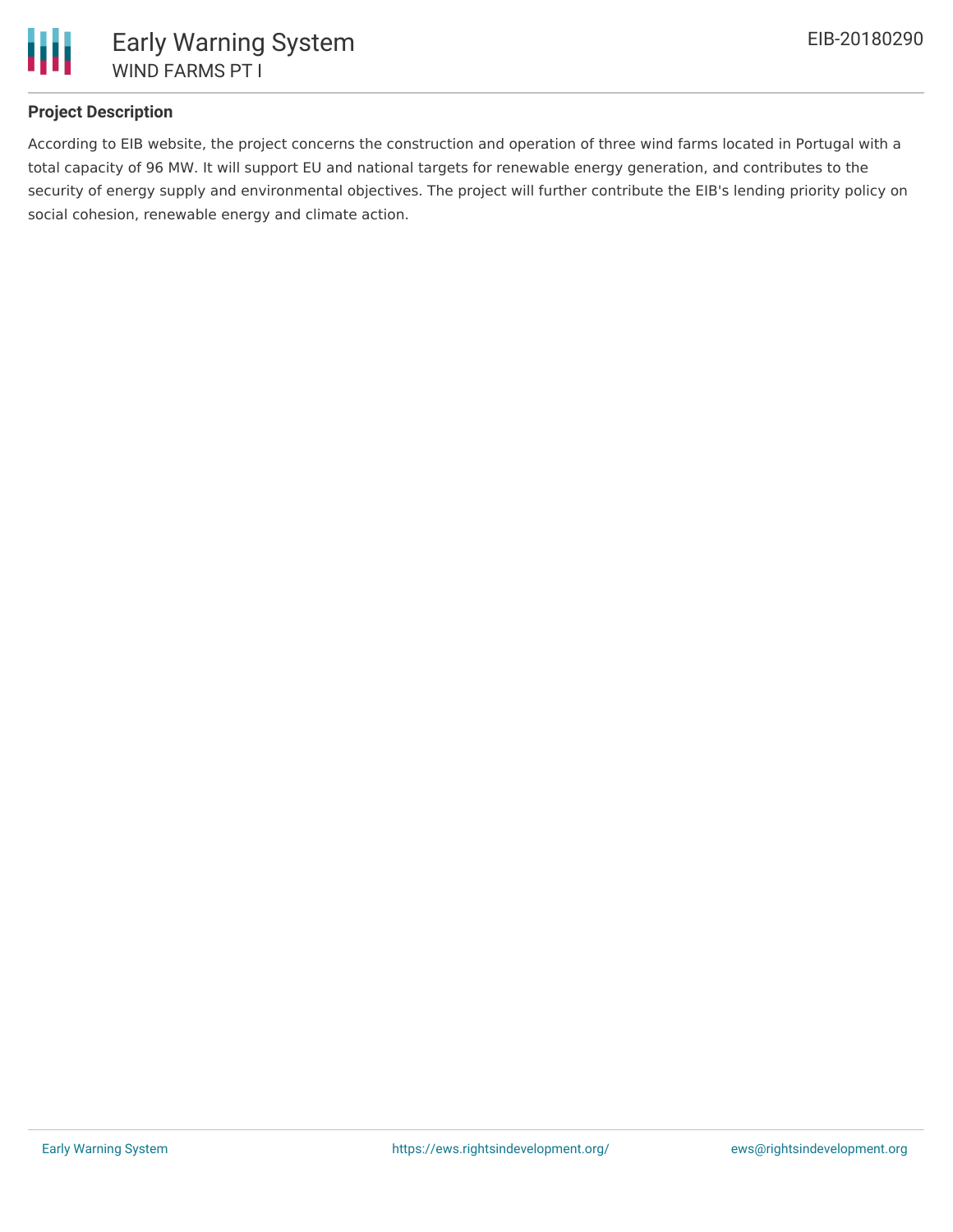

## **Project Description**

According to EIB website, the project concerns the construction and operation of three wind farms located in Portugal with a total capacity of 96 MW. It will support EU and national targets for renewable energy generation, and contributes to the security of energy supply and environmental objectives. The project will further contribute the EIB's lending priority policy on social cohesion, renewable energy and climate action.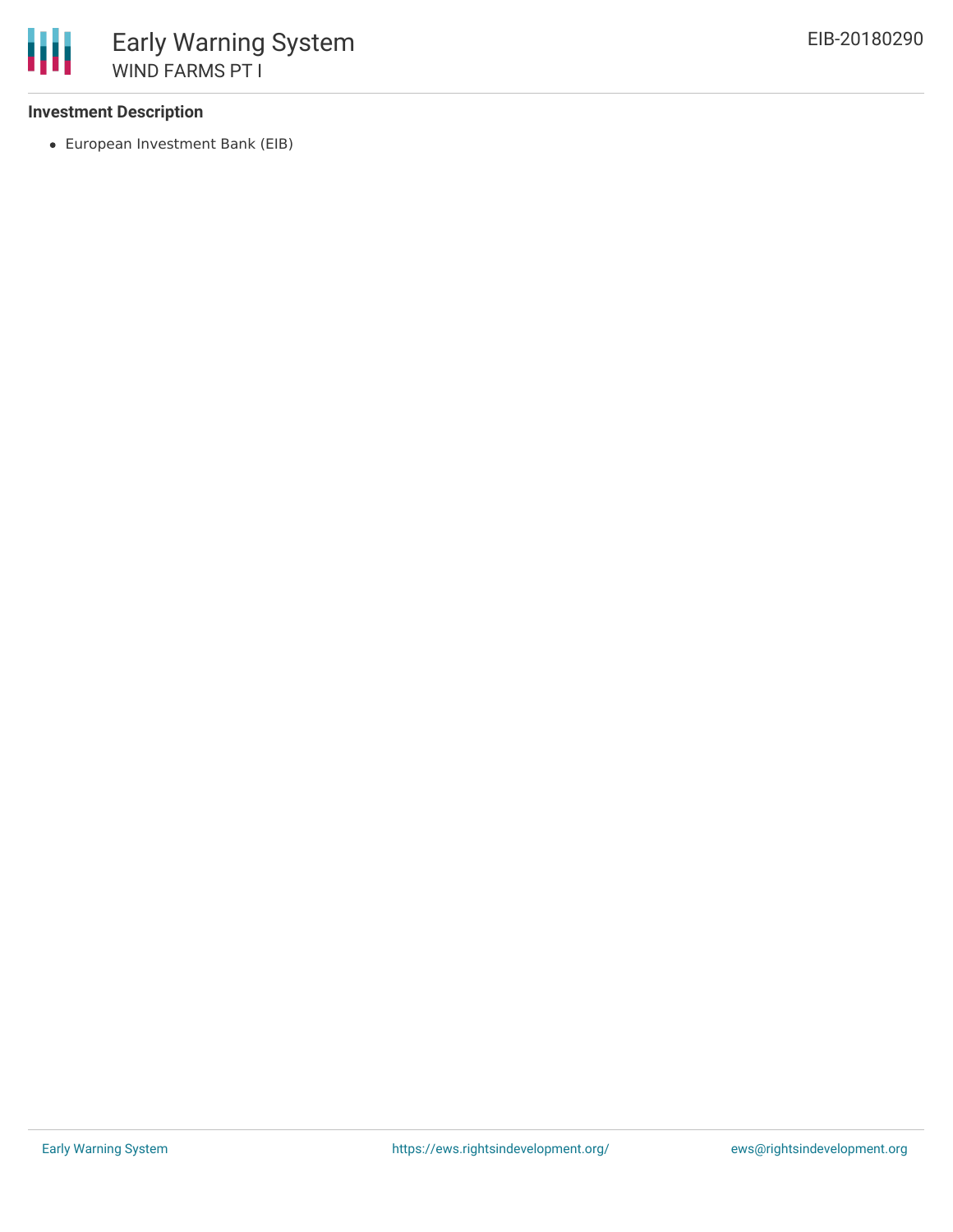## **Investment Description**

European Investment Bank (EIB)